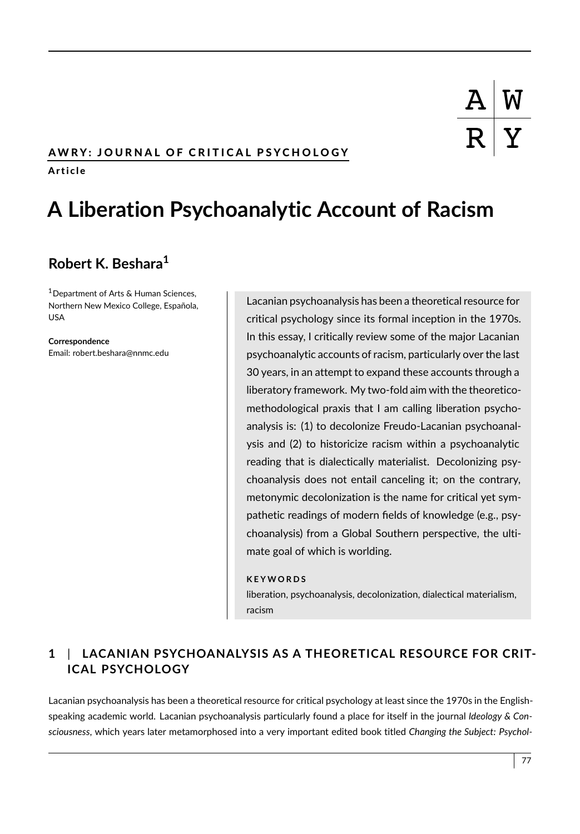### AWRY: JOURNAL OF CRITICAL PSYCHOLOGY

A r t i c l e

# **A Liberation Psychoanalytic Account of Racism**

## **Robert K. Beshara<sup>1</sup>**

<sup>1</sup>Department of Arts & Human Sciences, Northern New Mexico College, Española, USA

**Correspondence** Email: robert.beshara@nnmc.edu

Lacanian psychoanalysis has been a theoretical resource for critical psychology since its formal inception in the 1970s. In this essay, I critically review some of the major Lacanian psychoanalytic accounts of racism, particularly over the last 30 years, in an attempt to expand these accounts through a liberatory framework. My two-fold aim with the theoreticomethodological praxis that I am calling liberation psychoanalysis is: (1) to decolonize Freudo-Lacanian psychoanalysis and (2) to historicize racism within a psychoanalytic reading that is dialectically materialist. Decolonizing psychoanalysis does not entail canceling it; on the contrary, metonymic decolonization is the name for critical yet sympathetic readings of modern fields of knowledge (e.g., psychoanalysis) from a Global Southern perspective, the ultimate goal of which is worlding.

#### **K E Y W O R D S**

liberation, psychoanalysis, decolonization, dialectical materialism, racism

## **1** | **LACANIAN PSYCHOANALYSIS AS A THEORETICAL RESOURCE FOR CRIT-ICAL PSYCHOLOGY**

Lacanian psychoanalysis has been a theoretical resource for critical psychology at least since the 1970s in the Englishspeaking academic world. Lacanian psychoanalysis particularly found a place for itself in the journal *Ideology & Consciousness*, which years later metamorphosed into a very important edited book titled *Changing the Subject: Psychol-*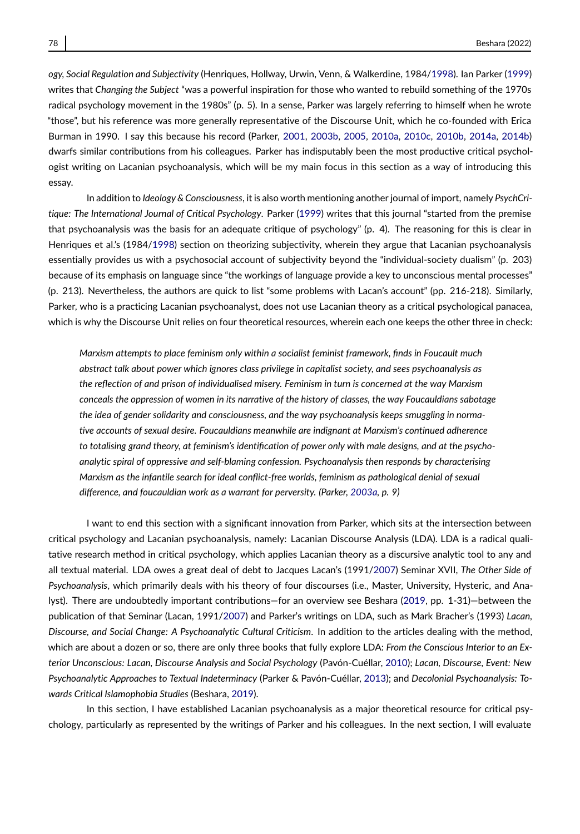*ogy, Social Regulation and Subjectivity* (Henriques, Hollway, Urwin, Venn, & Walkerdine, 1984[/1998\)](#page-15-0). Ian Parker [\(1999\)](#page-16-0) writes that *Changing the Subject* "was a powerful inspiration for those who wanted to rebuild something of the 1970s radical psychology movement in the 1980s" (p. 5). In a sense, Parker was largely referring to himself when he wrote "those", but his reference was more generally representative of the Discourse Unit, which he co-founded with Erica Burman in 1990. I say this because his record (Parker, [2001,](#page-16-1) [2003b,](#page-16-2) [2005,](#page-16-3) [2010a,](#page-16-4) [2010c,](#page-16-5) [2010b,](#page-16-6) [2014a,](#page-16-7) [2014b\)](#page-16-8) dwarfs similar contributions from his colleagues. Parker has indisputably been the most productive critical psychologist writing on Lacanian psychoanalysis, which will be my main focus in this section as a way of introducing this essay.

In addition to *Ideology & Consciousness*, it is also worth mentioning another journal of import, namely *PsychCritique: The International Journal of Critical Psychology*. Parker [\(1999\)](#page-16-0) writes that this journal "started from the premise that psychoanalysis was the basis for an adequate critique of psychology" (p. 4). The reasoning for this is clear in Henriques et al.'s (1984[/1998\)](#page-15-0) section on theorizing subjectivity, wherein they argue that Lacanian psychoanalysis essentially provides us with a psychosocial account of subjectivity beyond the "individual-society dualism" (p. 203) because of its emphasis on language since "the workings of language provide a key to unconscious mental processes" (p. 213). Nevertheless, the authors are quick to list "some problems with Lacan's account" (pp. 216-218). Similarly, Parker, who is a practicing Lacanian psychoanalyst, does not use Lacanian theory as a critical psychological panacea, which is why the Discourse Unit relies on four theoretical resources, wherein each one keeps the other three in check:

*Marxism attempts to place feminism only within a socialist feminist framework, finds in Foucault much abstract talk about power which ignores class privilege in capitalist society, and sees psychoanalysis as the reflection of and prison of individualised misery. Feminism in turn is concerned at the way Marxism conceals the oppression of women in its narrative of the history of classes, the way Foucauldians sabotage the idea of gender solidarity and consciousness, and the way psychoanalysis keeps smuggling in normative accounts of sexual desire. Foucauldians meanwhile are indignant at Marxism's continued adherence to totalising grand theory, at feminism's identification of power only with male designs, and at the psychoanalytic spiral of oppressive and self-blaming confession. Psychoanalysis then responds by characterising Marxism as the infantile search for ideal conflict-free worlds, feminism as pathological denial of sexual difference, and foucauldian work as a warrant for perversity. (Parker, [2003a,](#page-16-9) p. 9)*

I want to end this section with a significant innovation from Parker, which sits at the intersection between critical psychology and Lacanian psychoanalysis, namely: Lacanian Discourse Analysis (LDA). LDA is a radical qualitative research method in critical psychology, which applies Lacanian theory as a discursive analytic tool to any and all textual material. LDA owes a great deal of debt to Jacques Lacan's (1991[/2007\)](#page-16-10) Seminar XVII, *The Other Side of Psychoanalysis*, which primarily deals with his theory of four discourses (i.e., Master, University, Hysteric, and Analyst). There are undoubtedly important contributions—for an overview see Beshara [\(2019,](#page-15-1) pp. 1-31)—between the publication of that Seminar (Lacan, 1991[/2007\)](#page-16-10) and Parker's writings on LDA, such as Mark Bracher's (1993) *Lacan, Discourse, and Social Change: A Psychoanalytic Cultural Criticism*. In addition to the articles dealing with the method, which are about a dozen or so, there are only three books that fully explore LDA: *From the Conscious Interior to an Exterior Unconscious: Lacan, Discourse Analysis and Social Psychology* (Pavón-Cuéllar, [2010\)](#page-16-11); *Lacan, Discourse, Event: New Psychoanalytic Approaches to Textual Indeterminacy* (Parker & Pavón-Cuéllar, [2013\)](#page-16-12); and *Decolonial Psychoanalysis: Towards Critical Islamophobia Studies* (Beshara, [2019\)](#page-15-1).

In this section, I have established Lacanian psychoanalysis as a major theoretical resource for critical psychology, particularly as represented by the writings of Parker and his colleagues. In the next section, I will evaluate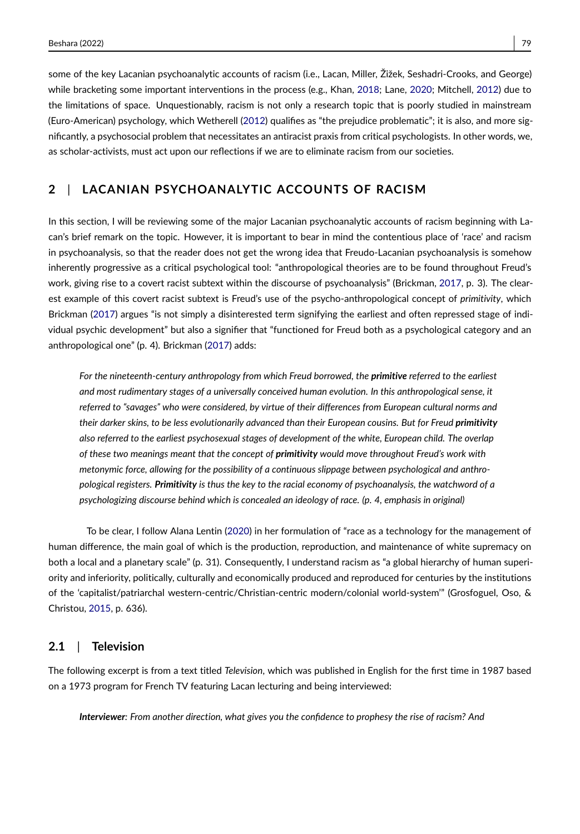some of the key Lacanian psychoanalytic accounts of racism (i.e., Lacan, Miller, Žižek, Seshadri-Crooks, and George) while bracketing some important interventions in the process (e.g., Khan, [2018;](#page-15-2) Lane, [2020;](#page-16-13) Mitchell, [2012\)](#page-16-14) due to the limitations of space. Unquestionably, racism is not only a research topic that is poorly studied in mainstream (Euro-American) psychology, which Wetherell [\(2012\)](#page-17-0) qualifies as "the prejudice problematic"; it is also, and more significantly, a psychosocial problem that necessitates an antiracist praxis from critical psychologists. In other words, we, as scholar-activists, must act upon our reflections if we are to eliminate racism from our societies.

### **2** | **LACANIAN PSYCHOANALYTIC ACCOUNTS OF RACISM**

In this section, I will be reviewing some of the major Lacanian psychoanalytic accounts of racism beginning with Lacan's brief remark on the topic. However, it is important to bear in mind the contentious place of 'race' and racism in psychoanalysis, so that the reader does not get the wrong idea that Freudo-Lacanian psychoanalysis is somehow inherently progressive as a critical psychological tool: "anthropological theories are to be found throughout Freud's work, giving rise to a covert racist subtext within the discourse of psychoanalysis" (Brickman, [2017,](#page-15-3) p. 3). The clearest example of this covert racist subtext is Freud's use of the psycho-anthropological concept of *primitivity*, which Brickman [\(2017\)](#page-15-3) argues "is not simply a disinterested term signifying the earliest and often repressed stage of individual psychic development" but also a signifier that "functioned for Freud both as a psychological category and an anthropological one" (p. 4). Brickman [\(2017\)](#page-15-3) adds:

*For the nineteenth-century anthropology from which Freud borrowed, the primitive referred to the earliest and most rudimentary stages of a universally conceived human evolution. In this anthropological sense, it referred to "savages" who were considered, by virtue of their differences from European cultural norms and their darker skins, to be less evolutionarily advanced than their European cousins. But for Freud primitivity also referred to the earliest psychosexual stages of development of the white, European child. The overlap of these two meanings meant that the concept of primitivity would move throughout Freud's work with metonymic force, allowing for the possibility of a continuous slippage between psychological and anthropological registers. Primitivity is thus the key to the racial economy of psychoanalysis, the watchword of a psychologizing discourse behind which is concealed an ideology of race. (p. 4, emphasis in original)*

To be clear, I follow Alana Lentin [\(2020\)](#page-16-15) in her formulation of "race as a technology for the management of human difference, the main goal of which is the production, reproduction, and maintenance of white supremacy on both a local and a planetary scale" (p. 31). Consequently, I understand racism as "a global hierarchy of human superiority and inferiority, politically, culturally and economically produced and reproduced for centuries by the institutions of the 'capitalist/patriarchal western-centric/Christian-centric modern/colonial world-system'" (Grosfoguel, Oso, & Christou, [2015,](#page-15-4) p. 636).

#### **2.1** | **Television**

The following excerpt is from a text titled *Television*, which was published in English for the first time in 1987 based on a 1973 program for French TV featuring Lacan lecturing and being interviewed:

*Interviewer: From another direction, what gives you the confidence to prophesy the rise of racism? And*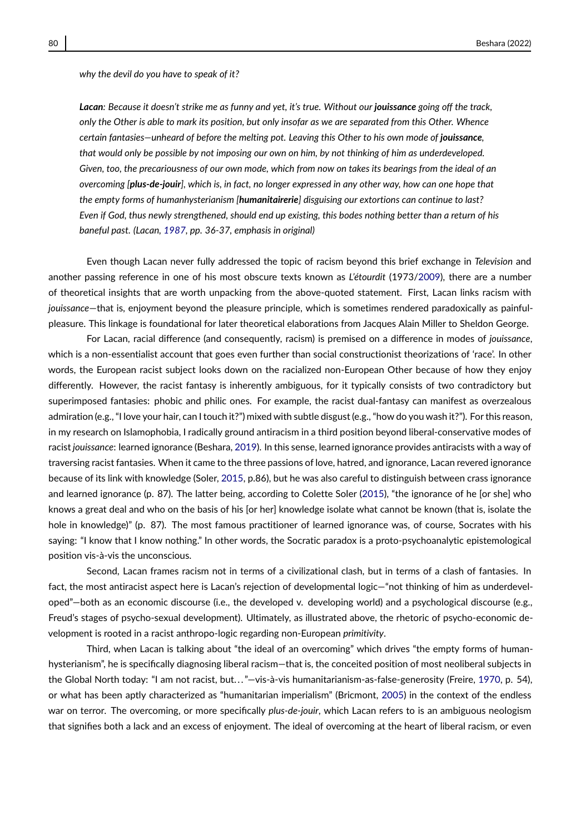*why the devil do you have to speak of it?*

*Lacan: Because it doesn't strike me as funny and yet, it's true. Without our jouissance going off the track, only the Other is able to mark its position, but only insofar as we are separated from this Other. Whence certain fantasies—unheard of before the melting pot. Leaving this Other to his own mode of jouissance, that would only be possible by not imposing our own on him, by not thinking of him as underdeveloped. Given, too, the precariousness of our own mode, which from now on takes its bearings from the ideal of an overcoming [plus-de-jouir], which is, in fact, no longer expressed in any other way, how can one hope that the empty forms of humanhysterianism [humanitairerie] disguising our extortions can continue to last? Even if God, thus newly strengthened, should end up existing, this bodes nothing better than a return of his baneful past. (Lacan, [1987,](#page-16-16) pp. 36-37, emphasis in original)*

Even though Lacan never fully addressed the topic of racism beyond this brief exchange in *Television* and another passing reference in one of his most obscure texts known as *L'étourdit* (1973[/2009\)](#page-16-17), there are a number of theoretical insights that are worth unpacking from the above-quoted statement. First, Lacan links racism with *jouissance*—that is, enjoyment beyond the pleasure principle, which is sometimes rendered paradoxically as painfulpleasure. This linkage is foundational for later theoretical elaborations from Jacques Alain Miller to Sheldon George.

For Lacan, racial difference (and consequently, racism) is premised on a difference in modes of *jouissance*, which is a non-essentialist account that goes even further than social constructionist theorizations of 'race'. In other words, the European racist subject looks down on the racialized non-European Other because of how they enjoy differently. However, the racist fantasy is inherently ambiguous, for it typically consists of two contradictory but superimposed fantasies: phobic and philic ones. For example, the racist dual-fantasy can manifest as overzealous admiration (e.g., "I love your hair, can I touch it?") mixed with subtle disgust (e.g., "how do you wash it?"). For this reason, in my research on Islamophobia, I radically ground antiracism in a third position beyond liberal-conservative modes of racist *jouissance*: learned ignorance (Beshara, [2019\)](#page-15-1). In this sense, learned ignorance provides antiracists with a way of traversing racist fantasies. When it came to the three passions of love, hatred, and ignorance, Lacan revered ignorance because of its link with knowledge (Soler, [2015,](#page-17-1) p.86), but he was also careful to distinguish between crass ignorance and learned ignorance (p. 87). The latter being, according to Colette Soler [\(2015\)](#page-17-1), "the ignorance of he [or she] who knows a great deal and who on the basis of his [or her] knowledge isolate what cannot be known (that is, isolate the hole in knowledge)" (p. 87). The most famous practitioner of learned ignorance was, of course, Socrates with his saying: "I know that I know nothing." In other words, the Socratic paradox is a proto-psychoanalytic epistemological position vis-à-vis the unconscious.

Second, Lacan frames racism not in terms of a civilizational clash, but in terms of a clash of fantasies. In fact, the most antiracist aspect here is Lacan's rejection of developmental logic—"not thinking of him as underdeveloped"—both as an economic discourse (i.e., the developed v. developing world) and a psychological discourse (e.g., Freud's stages of psycho-sexual development). Ultimately, as illustrated above, the rhetoric of psycho-economic development is rooted in a racist anthropo-logic regarding non-European *primitivity*.

Third, when Lacan is talking about "the ideal of an overcoming" which drives "the empty forms of humanhysterianism", he is specifically diagnosing liberal racism—that is, the conceited position of most neoliberal subjects in the Global North today: "I am not racist, but..."-vis-à-vis humanitarianism-as-false-generosity (Freire, [1970,](#page-15-5) p. 54), or what has been aptly characterized as "humanitarian imperialism" (Bricmont, [2005\)](#page-15-6) in the context of the endless war on terror. The overcoming, or more specifically *plus-de-jouir*, which Lacan refers to is an ambiguous neologism that signifies both a lack and an excess of enjoyment. The ideal of overcoming at the heart of liberal racism, or even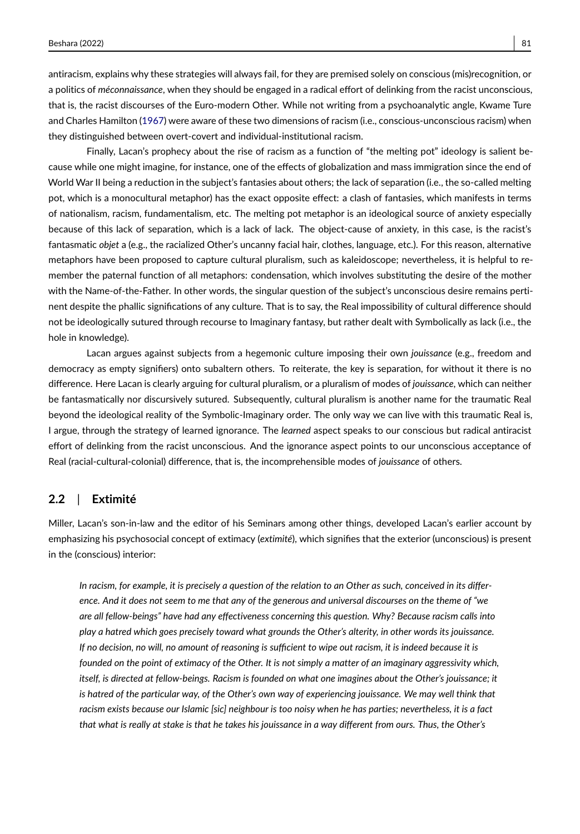antiracism, explains why these strategies will always fail, for they are premised solely on conscious (mis)recognition, or a politics of *méconnaissance*, when they should be engaged in a radical effort of delinking from the racist unconscious, that is, the racist discourses of the Euro-modern Other. While not writing from a psychoanalytic angle, Kwame Ture and Charles Hamilton [\(1967\)](#page-17-2) were aware of these two dimensions of racism (i.e., conscious-unconscious racism) when they distinguished between overt-covert and individual-institutional racism.

Finally, Lacan's prophecy about the rise of racism as a function of "the melting pot" ideology is salient because while one might imagine, for instance, one of the effects of globalization and mass immigration since the end of World War II being a reduction in the subject's fantasies about others; the lack of separation (i.e., the so-called melting pot, which is a monocultural metaphor) has the exact opposite effect: a clash of fantasies, which manifests in terms of nationalism, racism, fundamentalism, etc. The melting pot metaphor is an ideological source of anxiety especially because of this lack of separation, which is a lack of lack. The object-cause of anxiety, in this case, is the racist's fantasmatic *objet* a (e.g., the racialized Other's uncanny facial hair, clothes, language, etc.). For this reason, alternative metaphors have been proposed to capture cultural pluralism, such as kaleidoscope; nevertheless, it is helpful to remember the paternal function of all metaphors: condensation, which involves substituting the desire of the mother with the Name-of-the-Father. In other words, the singular question of the subject's unconscious desire remains pertinent despite the phallic significations of any culture. That is to say, the Real impossibility of cultural difference should not be ideologically sutured through recourse to Imaginary fantasy, but rather dealt with Symbolically as lack (i.e., the hole in knowledge).

Lacan argues against subjects from a hegemonic culture imposing their own *jouissance* (e.g., freedom and democracy as empty signifiers) onto subaltern others. To reiterate, the key is separation, for without it there is no difference. Here Lacan is clearly arguing for cultural pluralism, or a pluralism of modes of *jouissance*, which can neither be fantasmatically nor discursively sutured. Subsequently, cultural pluralism is another name for the traumatic Real beyond the ideological reality of the Symbolic-Imaginary order. The only way we can live with this traumatic Real is, I argue, through the strategy of learned ignorance. The *learned* aspect speaks to our conscious but radical antiracist effort of delinking from the racist unconscious. And the ignorance aspect points to our unconscious acceptance of Real (racial-cultural-colonial) difference, that is, the incomprehensible modes of *jouissance* of others.

#### **2.2** | **Extimité**

Miller, Lacan's son-in-law and the editor of his Seminars among other things, developed Lacan's earlier account by emphasizing his psychosocial concept of extimacy (*extimité*), which signifies that the exterior (unconscious) is present in the (conscious) interior:

*In racism, for example, it is precisely a question of the relation to an Other as such, conceived in its difference. And it does not seem to me that any of the generous and universal discourses on the theme of "we are all fellow-beings" have had any effectiveness concerning this question. Why? Because racism calls into play a hatred which goes precisely toward what grounds the Other's alterity, in other words its jouissance. If no decision, no will, no amount of reasoning is sufficient to wipe out racism, it is indeed because it is founded on the point of extimacy of the Other. It is not simply a matter of an imaginary aggressivity which, itself, is directed at fellow-beings. Racism is founded on what one imagines about the Other's jouissance; it is hatred of the particular way, of the Other's own way of experiencing jouissance. We may well think that racism exists because our Islamic [sic] neighbour is too noisy when he has parties; nevertheless, it is a fact that what is really at stake is that he takes his jouissance in a way different from ours. Thus, the Other's*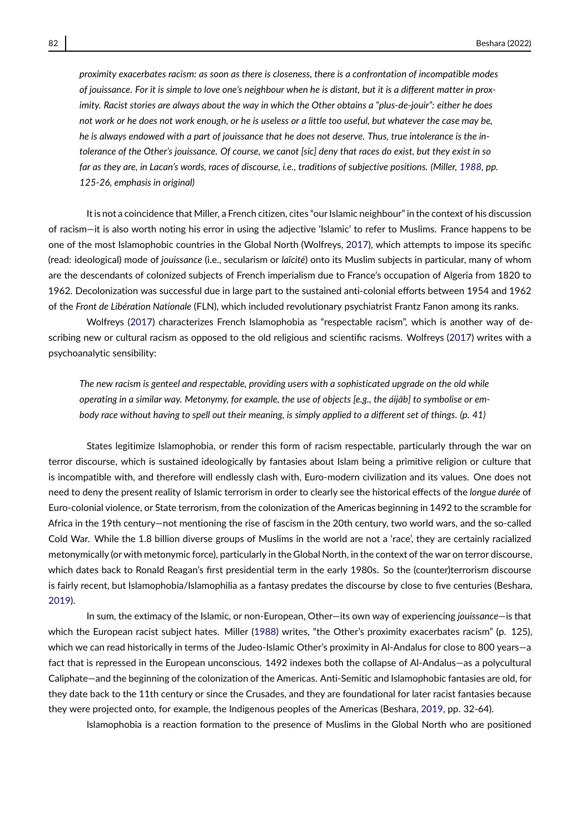*proximity exacerbates racism: as soon as there is closeness, there is a confrontation of incompatible modes of jouissance. For it is simple to love one's neighbour when he is distant, but it is a different matter in proximity. Racist stories are always about the way in which the Other obtains a "plus-de-jouir": either he does not work or he does not work enough, or he is useless or a little too useful, but whatever the case may be, he is always endowed with a part of jouissance that he does not deserve. Thus, true intolerance is the intolerance of the Other's jouissance. Of course, we canot [sic] deny that races do exist, but they exist in so far as they are, in Lacan's words, races of discourse, i.e., traditions of subjective positions. (Miller, [1988,](#page-16-18) pp. 125-26, emphasis in original)*

It is not a coincidence that Miller, a French citizen, cites "our Islamic neighbour" in the context of his discussion of racism—it is also worth noting his error in using the adjective 'Islamic' to refer to Muslims. France happens to be one of the most Islamophobic countries in the Global North (Wolfreys, [2017\)](#page-17-3), which attempts to impose its specific (read: ideological) mode of *jouissance* (i.e., secularism or *laïcité*) onto its Muslim subjects in particular, many of whom are the descendants of colonized subjects of French imperialism due to France's occupation of Algeria from 1820 to 1962. Decolonization was successful due in large part to the sustained anti-colonial efforts between 1954 and 1962 of the *Front de Libération Nationale* (FLN), which included revolutionary psychiatrist Frantz Fanon among its ranks.

Wolfreys [\(2017\)](#page-17-3) characterizes French Islamophobia as "respectable racism", which is another way of describing new or cultural racism as opposed to the old religious and scientific racisms. Wolfreys [\(2017\)](#page-17-3) writes with a psychoanalytic sensibility:

*The new racism is genteel and respectable, providing users with a sophisticated upgrade on the old while operating in a similar way. Metonymy, for example, the use of objects [e.g., the áijab] to symbolise or em- ¯ body race without having to spell out their meaning, is simply applied to a different set of things. (p. 41)*

States legitimize Islamophobia, or render this form of racism respectable, particularly through the war on terror discourse, which is sustained ideologically by fantasies about Islam being a primitive religion or culture that is incompatible with, and therefore will endlessly clash with, Euro-modern civilization and its values. One does not need to deny the present reality of Islamic terrorism in order to clearly see the historical effects of the *longue durée* of Euro-colonial violence, or State terrorism, from the colonization of the Americas beginning in 1492 to the scramble for Africa in the 19th century—not mentioning the rise of fascism in the 20th century, two world wars, and the so-called Cold War. While the 1.8 billion diverse groups of Muslims in the world are not a 'race', they are certainly racialized metonymically (or with metonymic force), particularly in the Global North, in the context of the war on terror discourse, which dates back to Ronald Reagan's first presidential term in the early 1980s. So the (counter)terrorism discourse is fairly recent, but Islamophobia/Islamophilia as a fantasy predates the discourse by close to five centuries (Beshara, [2019\)](#page-15-1).

In sum, the extimacy of the Islamic, or non-European, Other—its own way of experiencing *jouissance*—is that which the European racist subject hates. Miller [\(1988\)](#page-16-18) writes, "the Other's proximity exacerbates racism" (p. 125), which we can read historically in terms of the Judeo-Islamic Other's proximity in Al-Andalus for close to 800 years—a fact that is repressed in the European unconscious. 1492 indexes both the collapse of Al-Andalus—as a polycultural Caliphate—and the beginning of the colonization of the Americas. Anti-Semitic and Islamophobic fantasies are old, for they date back to the 11th century or since the Crusades, and they are foundational for later racist fantasies because they were projected onto, for example, the Indigenous peoples of the Americas (Beshara, [2019,](#page-15-1) pp. 32-64).

Islamophobia is a reaction formation to the presence of Muslims in the Global North who are positioned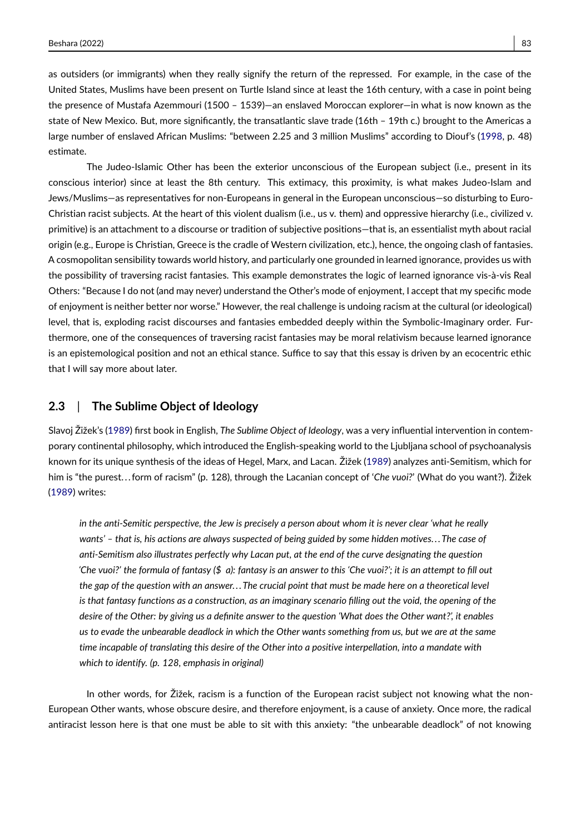as outsiders (or immigrants) when they really signify the return of the repressed. For example, in the case of the United States, Muslims have been present on Turtle Island since at least the 16th century, with a case in point being the presence of Mustafa Azemmouri (1500 – 1539)—an enslaved Moroccan explorer—in what is now known as the state of New Mexico. But, more significantly, the transatlantic slave trade (16th – 19th c.) brought to the Americas a large number of enslaved African Muslims: "between 2.25 and 3 million Muslims" according to Diouf's [\(1998,](#page-15-7) p. 48) estimate.

The Judeo-Islamic Other has been the exterior unconscious of the European subject (i.e., present in its conscious interior) since at least the 8th century. This extimacy, this proximity, is what makes Judeo-Islam and Jews/Muslims—as representatives for non-Europeans in general in the European unconscious—so disturbing to Euro-Christian racist subjects. At the heart of this violent dualism (i.e., us v. them) and oppressive hierarchy (i.e., civilized v. primitive) is an attachment to a discourse or tradition of subjective positions—that is, an essentialist myth about racial origin (e.g., Europe is Christian, Greece is the cradle of Western civilization, etc.), hence, the ongoing clash of fantasies. A cosmopolitan sensibility towards world history, and particularly one grounded in learned ignorance, provides us with the possibility of traversing racist fantasies. This example demonstrates the logic of learned ignorance vis-à-vis Real Others: "Because I do not (and may never) understand the Other's mode of enjoyment, I accept that my specific mode of enjoyment is neither better nor worse." However, the real challenge is undoing racism at the cultural (or ideological) level, that is, exploding racist discourses and fantasies embedded deeply within the Symbolic-Imaginary order. Furthermore, one of the consequences of traversing racist fantasies may be moral relativism because learned ignorance is an epistemological position and not an ethical stance. Suffice to say that this essay is driven by an ecocentric ethic that I will say more about later.

#### **2.3** | **The Sublime Object of Ideology**

Slavoj Žižek's [\(1989\)](#page-17-4) first book in English, *The Sublime Object of Ideology*, was a very influential intervention in contemporary continental philosophy, which introduced the English-speaking world to the Ljubljana school of psychoanalysis known for its unique synthesis of the ideas of Hegel, Marx, and Lacan. Žižek [\(1989\)](#page-17-4) analyzes anti-Semitism, which for him is "the purest. . . form of racism" (p. 128), through the Lacanian concept of '*Che vuoi?*' (What do you want?). Žižek [\(1989\)](#page-17-4) writes:

*in the anti-Semitic perspective, the Jew is precisely a person about whom it is never clear 'what he really wants' – that is, his actions are always suspected of being guided by some hidden motives. . . The case of anti-Semitism also illustrates perfectly why Lacan put, at the end of the curve designating the question 'Che vuoi?' the formula of fantasy (\$ a): fantasy is an answer to this 'Che vuoi?'; it is an attempt to fill out the gap of the question with an answer. . . The crucial point that must be made here on a theoretical level is that fantasy functions as a construction, as an imaginary scenario filling out the void, the opening of the desire of the Other: by giving us a definite answer to the question 'What does the Other want?', it enables us to evade the unbearable deadlock in which the Other wants something from us, but we are at the same time incapable of translating this desire of the Other into a positive interpellation, into a mandate with which to identify. (p. 128, emphasis in original)*

In other words, for Žižek, racism is a function of the European racist subject not knowing what the non-European Other wants, whose obscure desire, and therefore enjoyment, is a cause of anxiety. Once more, the radical antiracist lesson here is that one must be able to sit with this anxiety: "the unbearable deadlock" of not knowing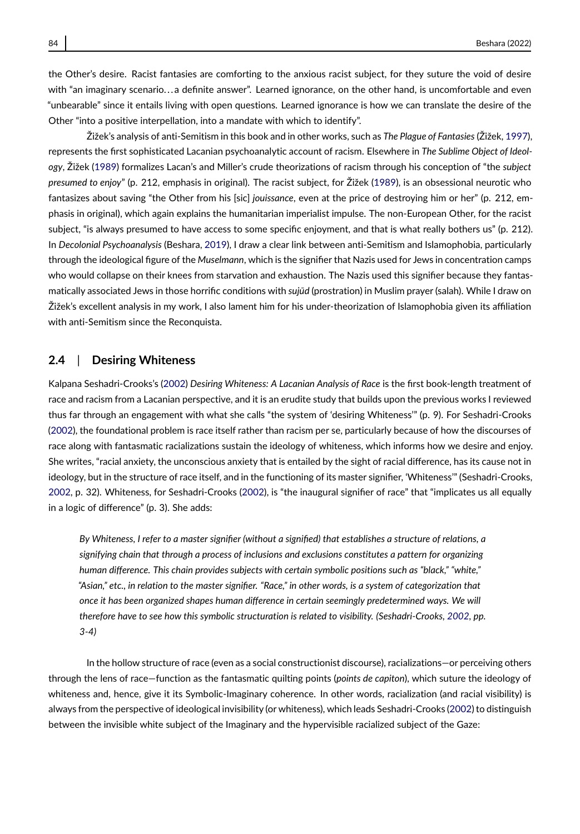the Other's desire. Racist fantasies are comforting to the anxious racist subject, for they suture the void of desire with "an imaginary scenario...a definite answer". Learned ignorance, on the other hand, is uncomfortable and even "unbearable" since it entails living with open questions. Learned ignorance is how we can translate the desire of the Other "into a positive interpellation, into a mandate with which to identify".

Žižek's analysis of anti-Semitism in this book and in other works, such as *The Plague of Fantasies* (Žižek, [1997\)](#page-17-5), represents the first sophisticated Lacanian psychoanalytic account of racism. Elsewhere in *The Sublime Object of Ideology*, Žižek [\(1989\)](#page-17-4) formalizes Lacan's and Miller's crude theorizations of racism through his conception of "the *subject presumed to enjoy*" (p. 212, emphasis in original). The racist subject, for Žižek [\(1989\)](#page-17-4), is an obsessional neurotic who fantasizes about saving "the Other from his [sic] *jouissance*, even at the price of destroying him or her" (p. 212, emphasis in original), which again explains the humanitarian imperialist impulse. The non-European Other, for the racist subject, "is always presumed to have access to some specific enjoyment, and that is what really bothers us" (p. 212). In *Decolonial Psychoanalysis* (Beshara, [2019\)](#page-15-1), I draw a clear link between anti-Semitism and Islamophobia, particularly through the ideological figure of the *Muselmann*, which is the signifier that Nazis used for Jews in concentration camps who would collapse on their knees from starvation and exhaustion. The Nazis used this signifier because they fantasmatically associated Jews in those horrific conditions with *sujūd* (prostration) in Muslim prayer (salah). While I draw on Žižek's excellent analysis in my work, I also lament him for his under-theorization of Islamophobia given its affiliation with anti-Semitism since the Reconquista.

#### **2.4** | **Desiring Whiteness**

Kalpana Seshadri-Crooks's [\(2002\)](#page-17-6) *Desiring Whiteness: A Lacanian Analysis of Race* is the first book-length treatment of race and racism from a Lacanian perspective, and it is an erudite study that builds upon the previous works I reviewed thus far through an engagement with what she calls "the system of 'desiring Whiteness'" (p. 9). For Seshadri-Crooks [\(2002\)](#page-17-6), the foundational problem is race itself rather than racism per se, particularly because of how the discourses of race along with fantasmatic racializations sustain the ideology of whiteness, which informs how we desire and enjoy. She writes, "racial anxiety, the unconscious anxiety that is entailed by the sight of racial difference, has its cause not in ideology, but in the structure of race itself, and in the functioning of its master signifier, 'Whiteness'" (Seshadri-Crooks, [2002,](#page-17-6) p. 32). Whiteness, for Seshadri-Crooks [\(2002\)](#page-17-6), is "the inaugural signifier of race" that "implicates us all equally in a logic of difference" (p. 3). She adds:

*By Whiteness, I refer to a master signifier (without a signified) that establishes a structure of relations, a signifying chain that through a process of inclusions and exclusions constitutes a pattern for organizing human difference. This chain provides subjects with certain symbolic positions such as "black," "white," "Asian," etc., in relation to the master signifier. "Race," in other words, is a system of categorization that once it has been organized shapes human difference in certain seemingly predetermined ways. We will therefore have to see how this symbolic structuration is related to visibility. (Seshadri-Crooks, [2002,](#page-17-6) pp. 3-4)*

In the hollow structure of race (even as a social constructionist discourse), racializations—or perceiving others through the lens of race—function as the fantasmatic quilting points (*points de capiton*), which suture the ideology of whiteness and, hence, give it its Symbolic-Imaginary coherence. In other words, racialization (and racial visibility) is always from the perspective of ideological invisibility (or whiteness), which leads Seshadri-Crooks [\(2002\)](#page-17-6) to distinguish between the invisible white subject of the Imaginary and the hypervisible racialized subject of the Gaze: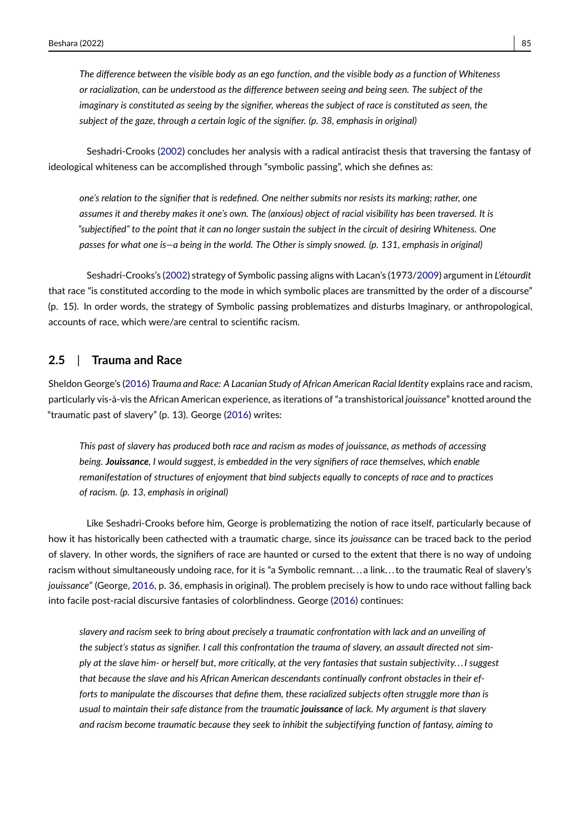*The difference between the visible body as an ego function, and the visible body as a function of Whiteness or racialization, can be understood as the difference between seeing and being seen. The subject of the imaginary is constituted as seeing by the signifier, whereas the subject of race is constituted as seen, the subject of the gaze, through a certain logic of the signifier. (p. 38, emphasis in original)*

Seshadri-Crooks [\(2002\)](#page-17-6) concludes her analysis with a radical antiracist thesis that traversing the fantasy of ideological whiteness can be accomplished through "symbolic passing", which she defines as:

*one's relation to the signifier that is redefined. One neither submits nor resists its marking; rather, one assumes it and thereby makes it one's own. The (anxious) object of racial visibility has been traversed. It is "subjectified" to the point that it can no longer sustain the subject in the circuit of desiring Whiteness. One passes for what one is—a being in the world. The Other is simply snowed. (p. 131, emphasis in original)*

Seshadri-Crooks's [\(2002\)](#page-17-6) strategy of Symbolic passing aligns with Lacan's (1973[/2009\)](#page-16-17) argument in *L'étourdit* that race "is constituted according to the mode in which symbolic places are transmitted by the order of a discourse" (p. 15). In order words, the strategy of Symbolic passing problematizes and disturbs Imaginary, or anthropological, accounts of race, which were/are central to scientific racism.

#### **2.5** | **Trauma and Race**

Sheldon George's [\(2016\)](#page-15-8) *Trauma and Race: A Lacanian Study of African American Racial Identity* explains race and racism, particularly vis-à-vis the African American experience, as iterations of "a transhistorical *jouissance*" knotted around the "traumatic past of slavery" (p. 13). George [\(2016\)](#page-15-8) writes:

*This past of slavery has produced both race and racism as modes of jouissance, as methods of accessing being. Jouissance, I would suggest, is embedded in the very signifiers of race themselves, which enable remanifestation of structures of enjoyment that bind subjects equally to concepts of race and to practices of racism. (p. 13, emphasis in original)*

Like Seshadri-Crooks before him, George is problematizing the notion of race itself, particularly because of how it has historically been cathected with a traumatic charge, since its *jouissance* can be traced back to the period of slavery. In other words, the signifiers of race are haunted or cursed to the extent that there is no way of undoing racism without simultaneously undoing race, for it is "a Symbolic remnant. . . a link. . . to the traumatic Real of slavery's *jouissance*" (George, [2016,](#page-15-8) p. 36, emphasis in original). The problem precisely is how to undo race without falling back into facile post-racial discursive fantasies of colorblindness. George [\(2016\)](#page-15-8) continues:

*slavery and racism seek to bring about precisely a traumatic confrontation with lack and an unveiling of the subject's status as signifier. I call this confrontation the trauma of slavery, an assault directed not simply at the slave him- or herself but, more critically, at the very fantasies that sustain subjectivity. . .I suggest that because the slave and his African American descendants continually confront obstacles in their efforts to manipulate the discourses that define them, these racialized subjects often struggle more than is usual to maintain their safe distance from the traumatic jouissance of lack. My argument is that slavery and racism become traumatic because they seek to inhibit the subjectifying function of fantasy, aiming to*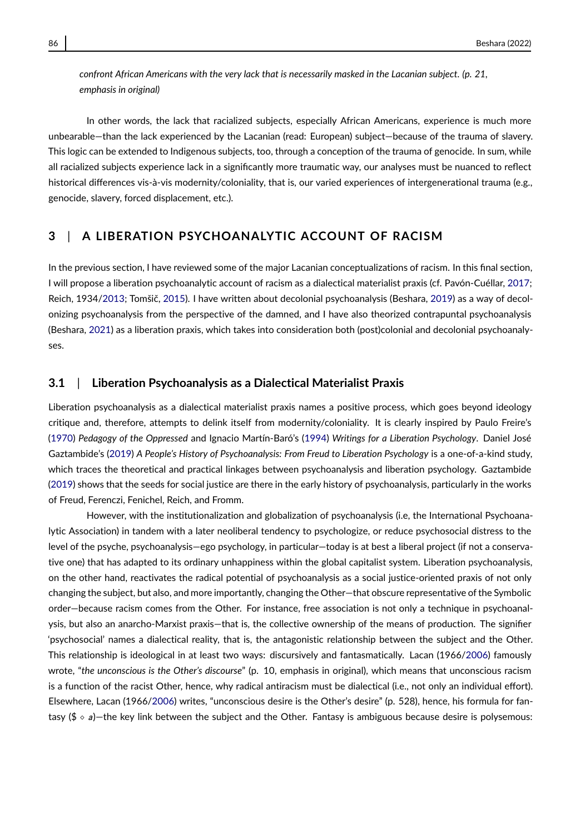*confront African Americans with the very lack that is necessarily masked in the Lacanian subject. (p. 21, emphasis in original)*

In other words, the lack that racialized subjects, especially African Americans, experience is much more unbearable—than the lack experienced by the Lacanian (read: European) subject—because of the trauma of slavery. This logic can be extended to Indigenous subjects, too, through a conception of the trauma of genocide. In sum, while all racialized subjects experience lack in a significantly more traumatic way, our analyses must be nuanced to reflect historical differences vis-à-vis modernity/coloniality, that is, our varied experiences of intergenerational trauma (e.g., genocide, slavery, forced displacement, etc.).

#### **3** | **A LIBERATION PSYCHOANALYTIC ACCOUNT OF RACISM**

In the previous section, I have reviewed some of the major Lacanian conceptualizations of racism. In this final section, I will propose a liberation psychoanalytic account of racism as a dialectical materialist praxis (cf. Pavón-Cuéllar, [2017;](#page-16-19) Reich, 1934[/2013;](#page-17-7) Tomšič, [2015\)](#page-17-8). I have written about decolonial psychoanalysis (Beshara, [2019\)](#page-15-1) as a way of decolonizing psychoanalysis from the perspective of the damned, and I have also theorized contrapuntal psychoanalysis (Beshara, [2021\)](#page-15-9) as a liberation praxis, which takes into consideration both (post)colonial and decolonial psychoanalyses.

#### **3.1** | **Liberation Psychoanalysis as a Dialectical Materialist Praxis**

Liberation psychoanalysis as a dialectical materialist praxis names a positive process, which goes beyond ideology critique and, therefore, attempts to delink itself from modernity/coloniality. It is clearly inspired by Paulo Freire's [\(1970\)](#page-15-5) *Pedagogy of the Oppressed* and Ignacio Martín-Baró's [\(1994\)](#page-16-20) *Writings for a Liberation Psychology*. Daniel José Gaztambide's [\(2019\)](#page-15-10) *A People's History of Psychoanalysis: From Freud to Liberation Psychology* is a one-of-a-kind study, which traces the theoretical and practical linkages between psychoanalysis and liberation psychology. Gaztambide [\(2019\)](#page-15-10) shows that the seeds for social justice are there in the early history of psychoanalysis, particularly in the works of Freud, Ferenczi, Fenichel, Reich, and Fromm.

However, with the institutionalization and globalization of psychoanalysis (i.e, the International Psychoanalytic Association) in tandem with a later neoliberal tendency to psychologize, or reduce psychosocial distress to the level of the psyche, psychoanalysis—ego psychology, in particular—today is at best a liberal project (if not a conservative one) that has adapted to its ordinary unhappiness within the global capitalist system. Liberation psychoanalysis, on the other hand, reactivates the radical potential of psychoanalysis as a social justice-oriented praxis of not only changing the subject, but also, and more importantly, changing the Other—that obscure representative of the Symbolic order—because racism comes from the Other. For instance, free association is not only a technique in psychoanalysis, but also an anarcho-Marxist praxis—that is, the collective ownership of the means of production. The signifier 'psychosocial' names a dialectical reality, that is, the antagonistic relationship between the subject and the Other. This relationship is ideological in at least two ways: discursively and fantasmatically. Lacan (1966[/2006\)](#page-16-21) famously wrote, "*the unconscious is the Other's discourse*" (p. 10, emphasis in original), which means that unconscious racism is a function of the racist Other, hence, why radical antiracism must be dialectical (i.e., not only an individual effort). Elsewhere, Lacan (1966[/2006\)](#page-16-21) writes, "unconscious desire is the Other's desire" (p. 528), hence, his formula for fantasy ( $\frac{1}{2} \cdot a$ )—the key link between the subject and the Other. Fantasy is ambiguous because desire is polysemous: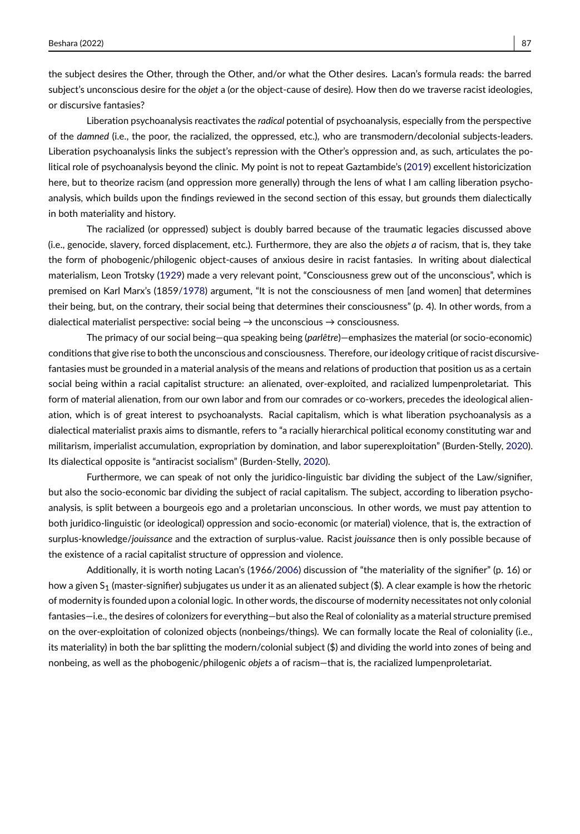the subject desires the Other, through the Other, and/or what the Other desires. Lacan's formula reads: the barred subject's unconscious desire for the *objet* a (or the object-cause of desire). How then do we traverse racist ideologies, or discursive fantasies?

Liberation psychoanalysis reactivates the *radical* potential of psychoanalysis, especially from the perspective of the *damned* (i.e., the poor, the racialized, the oppressed, etc.), who are transmodern/decolonial subjects-leaders. Liberation psychoanalysis links the subject's repression with the Other's oppression and, as such, articulates the political role of psychoanalysis beyond the clinic. My point is not to repeat Gaztambide's [\(2019\)](#page-15-10) excellent historicization here, but to theorize racism (and oppression more generally) through the lens of what I am calling liberation psychoanalysis, which builds upon the findings reviewed in the second section of this essay, but grounds them dialectically in both materiality and history.

The racialized (or oppressed) subject is doubly barred because of the traumatic legacies discussed above (i.e., genocide, slavery, forced displacement, etc.). Furthermore, they are also the *objets a* of racism, that is, they take the form of phobogenic/philogenic object-causes of anxious desire in racist fantasies. In writing about dialectical materialism, Leon Trotsky [\(1929\)](#page-17-9) made a very relevant point, "Consciousness grew out of the unconscious", which is premised on Karl Marx's (1859[/1978\)](#page-16-22) argument, "It is not the consciousness of men [and women] that determines their being, but, on the contrary, their social being that determines their consciousness" (p. 4). In other words, from a dialectical materialist perspective: social being  $\rightarrow$  the unconscious  $\rightarrow$  consciousness.

The primacy of our social being—qua speaking being (*parlêtre*)—emphasizes the material (or socio-economic) conditions that give rise to both the unconscious and consciousness. Therefore, our ideology critique of racist discursivefantasies must be grounded in a material analysis of the means and relations of production that position us as a certain social being within a racial capitalist structure: an alienated, over-exploited, and racialized lumpenproletariat. This form of material alienation, from our own labor and from our comrades or co-workers, precedes the ideological alienation, which is of great interest to psychoanalysts. Racial capitalism, which is what liberation psychoanalysis as a dialectical materialist praxis aims to dismantle, refers to "a racially hierarchical political economy constituting war and militarism, imperialist accumulation, expropriation by domination, and labor superexploitation" (Burden-Stelly, [2020\)](#page-15-11). Its dialectical opposite is "antiracist socialism" (Burden-Stelly, [2020\)](#page-15-11).

Furthermore, we can speak of not only the juridico-linguistic bar dividing the subject of the Law/signifier, but also the socio-economic bar dividing the subject of racial capitalism. The subject, according to liberation psychoanalysis, is split between a bourgeois ego and a proletarian unconscious. In other words, we must pay attention to both juridico-linguistic (or ideological) oppression and socio-economic (or material) violence, that is, the extraction of surplus-knowledge/*jouissance* and the extraction of surplus-value. Racist *jouissance* then is only possible because of the existence of a racial capitalist structure of oppression and violence.

Additionally, it is worth noting Lacan's (1966[/2006\)](#page-16-21) discussion of "the materiality of the signifier" (p. 16) or how a given  $S_1$  (master-signifier) subjugates us under it as an alienated subject (\$). A clear example is how the rhetoric of modernity is founded upon a colonial logic. In other words, the discourse of modernity necessitates not only colonial fantasies—i.e., the desires of colonizers for everything—but also the Real of coloniality as a material structure premised on the over-exploitation of colonized objects (nonbeings/things). We can formally locate the Real of coloniality (i.e., its materiality) in both the bar splitting the modern/colonial subject (\$) and dividing the world into zones of being and nonbeing, as well as the phobogenic/philogenic *objets* a of racism—that is, the racialized lumpenproletariat.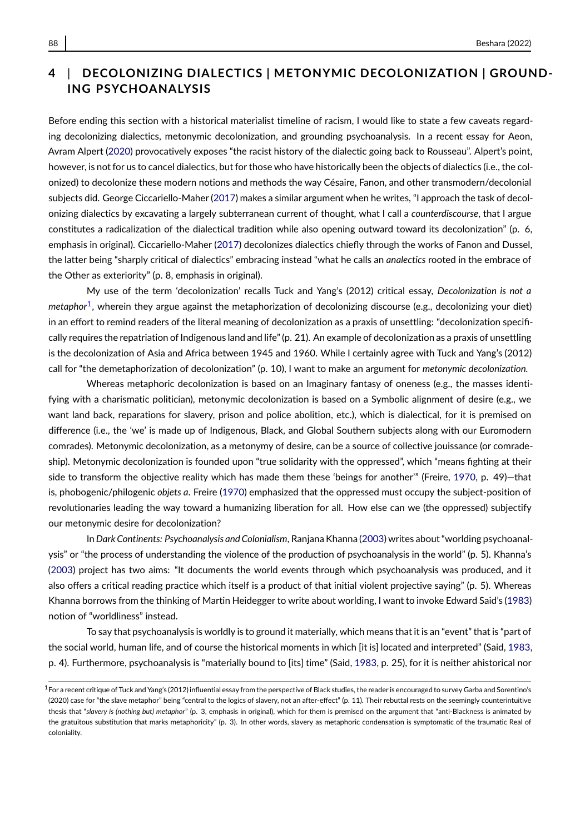## **4** | **DECOLONIZING DIALECTICS | METONYMIC DECOLONIZATION | GROUND-ING PSYCHOANALYSIS**

Before ending this section with a historical materialist timeline of racism, I would like to state a few caveats regarding decolonizing dialectics, metonymic decolonization, and grounding psychoanalysis. In a recent essay for Aeon, Avram Alpert [\(2020\)](#page-15-12) provocatively exposes "the racist history of the dialectic going back to Rousseau". Alpert's point, however, is not for us to cancel dialectics, but for those who have historically been the objects of dialectics (i.e., the colonized) to decolonize these modern notions and methods the way Césaire, Fanon, and other transmodern/decolonial subjects did. George Ciccariello-Maher [\(2017\)](#page-15-13) makes a similar argument when he writes, "I approach the task of decolonizing dialectics by excavating a largely subterranean current of thought, what I call a *counterdiscourse*, that I argue constitutes a radicalization of the dialectical tradition while also opening outward toward its decolonization" (p. 6, emphasis in original). Ciccariello-Maher [\(2017\)](#page-15-13) decolonizes dialectics chiefly through the works of Fanon and Dussel, the latter being "sharply critical of dialectics" embracing instead "what he calls an *analectics* rooted in the embrace of the Other as exteriority" (p. 8, emphasis in original).

My use of the term 'decolonization' recalls Tuck and Yang's (2012) critical essay, *Decolonization is not a metaphor*[1](#page-11-0) , wherein they argue against the metaphorization of decolonizing discourse (e.g., decolonizing your diet) in an effort to remind readers of the literal meaning of decolonization as a praxis of unsettling: "decolonization specifically requires the repatriation of Indigenous land and life" (p. 21). An example of decolonization as a praxis of unsettling is the decolonization of Asia and Africa between 1945 and 1960. While I certainly agree with Tuck and Yang's (2012) call for "the demetaphorization of decolonization" (p. 10), I want to make an argument for *metonymic decolonization.*

Whereas metaphoric decolonization is based on an Imaginary fantasy of oneness (e.g., the masses identifying with a charismatic politician), metonymic decolonization is based on a Symbolic alignment of desire (e.g., we want land back, reparations for slavery, prison and police abolition, etc.), which is dialectical, for it is premised on difference (i.e., the 'we' is made up of Indigenous, Black, and Global Southern subjects along with our Euromodern comrades). Metonymic decolonization, as a metonymy of desire, can be a source of collective jouissance (or comradeship). Metonymic decolonization is founded upon "true solidarity with the oppressed", which "means fighting at their side to transform the objective reality which has made them these 'beings for another'" (Freire, [1970,](#page-15-5) p. 49)—that is, phobogenic/philogenic *objets a*. Freire [\(1970\)](#page-15-5) emphasized that the oppressed must occupy the subject-position of revolutionaries leading the way toward a humanizing liberation for all. How else can we (the oppressed) subjectify our metonymic desire for decolonization?

In *Dark Continents: Psychoanalysis and Colonialism*, Ranjana Khanna [\(2003\)](#page-16-23) writes about "worlding psychoanalysis" or "the process of understanding the violence of the production of psychoanalysis in the world" (p. 5). Khanna's [\(2003\)](#page-16-23) project has two aims: "It documents the world events through which psychoanalysis was produced, and it also offers a critical reading practice which itself is a product of that initial violent projective saying" (p. 5). Whereas Khanna borrows from the thinking of Martin Heidegger to write about worlding, I want to invoke Edward Said's [\(1983\)](#page-17-10) notion of "worldliness" instead.

To say that psychoanalysis is worldly is to ground it materially, which means that it is an "event" that is "part of the social world, human life, and of course the historical moments in which [it is] located and interpreted" (Said, [1983,](#page-17-10) p. 4). Furthermore, psychoanalysis is "materially bound to [its] time" (Said, [1983,](#page-17-10) p. 25), for it is neither ahistorical nor

<span id="page-11-0"></span> $1$  For a recent critique of Tuck and Yang's (2012) influential essay from the perspective of Black studies, the reader is encouraged to survey Garba and Sorentino's (2020) case for "the slave metaphor" being "central to the logics of slavery, not an after-effect" (p. 11). Their rebuttal rests on the seemingly counterintuitive thesis that "*slavery is (nothing but) metaphor*" (p. 3, emphasis in original), which for them is premised on the argument that "anti-Blackness is animated by the gratuitous substitution that marks metaphoricity" (p. 3). In other words, slavery as metaphoric condensation is symptomatic of the traumatic Real of coloniality.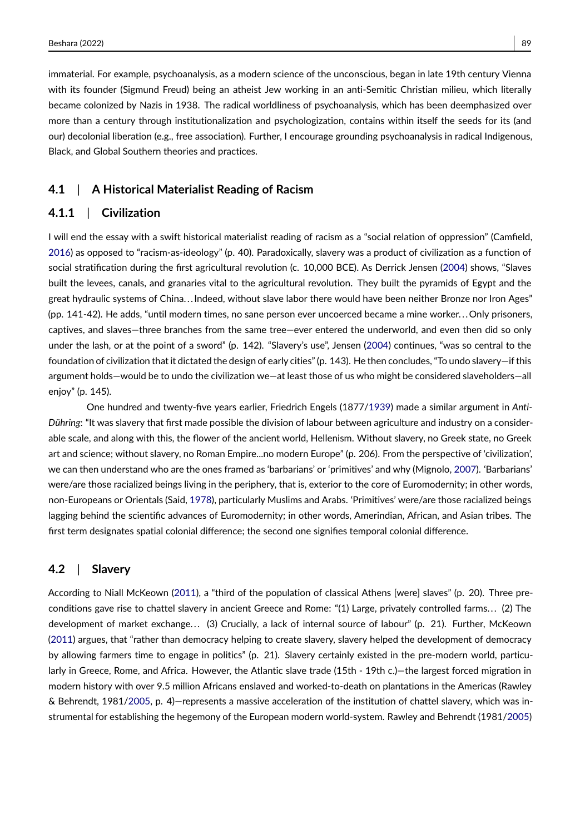Beshara (2022) 89

immaterial. For example, psychoanalysis, as a modern science of the unconscious, began in late 19th century Vienna with its founder (Sigmund Freud) being an atheist Jew working in an anti-Semitic Christian milieu, which literally became colonized by Nazis in 1938. The radical worldliness of psychoanalysis, which has been deemphasized over more than a century through institutionalization and psychologization, contains within itself the seeds for its (and our) decolonial liberation (e.g., free association). Further, I encourage grounding psychoanalysis in radical Indigenous, Black, and Global Southern theories and practices.

#### **4.1** | **A Historical Materialist Reading of Racism**

### **4.1.1** | **Civilization**

I will end the essay with a swift historical materialist reading of racism as a "social relation of oppression" (Camfield, [2016\)](#page-15-14) as opposed to "racism-as-ideology" (p. 40). Paradoxically, slavery was a product of civilization as a function of social stratification during the first agricultural revolution (c. 10,000 BCE). As Derrick Jensen [\(2004\)](#page-15-15) shows, "Slaves built the levees, canals, and granaries vital to the agricultural revolution. They built the pyramids of Egypt and the great hydraulic systems of China. . .Indeed, without slave labor there would have been neither Bronze nor Iron Ages" (pp. 141-42). He adds, "until modern times, no sane person ever uncoerced became a mine worker... Only prisoners, captives, and slaves—three branches from the same tree—ever entered the underworld, and even then did so only under the lash, or at the point of a sword" (p. 142). "Slavery's use", Jensen [\(2004\)](#page-15-15) continues, "was so central to the foundation of civilization that it dictated the design of early cities" (p. 143). He then concludes, "To undo slavery—if this argument holds—would be to undo the civilization we—at least those of us who might be considered slaveholders—all enjoy" (p. 145).

One hundred and twenty-five years earlier, Friedrich Engels (1877[/1939\)](#page-15-16) made a similar argument in *Anti-Dühring*: "It was slavery that first made possible the division of labour between agriculture and industry on a considerable scale, and along with this, the flower of the ancient world, Hellenism. Without slavery, no Greek state, no Greek art and science; without slavery, no Roman Empire...no modern Europe" (p. 206). From the perspective of 'civilization', we can then understand who are the ones framed as 'barbarians' or 'primitives' and why (Mignolo, [2007\)](#page-16-24). 'Barbarians' were/are those racialized beings living in the periphery, that is, exterior to the core of Euromodernity; in other words, non-Europeans or Orientals (Said, [1978\)](#page-17-11), particularly Muslims and Arabs. 'Primitives' were/are those racialized beings lagging behind the scientific advances of Euromodernity; in other words, Amerindian, African, and Asian tribes. The first term designates spatial colonial difference; the second one signifies temporal colonial difference.

#### **4.2** | **Slavery**

According to Niall McKeown [\(2011\)](#page-16-25), a "third of the population of classical Athens [were] slaves" (p. 20). Three preconditions gave rise to chattel slavery in ancient Greece and Rome: "(1) Large, privately controlled farms. . . (2) The development of market exchange... (3) Crucially, a lack of internal source of labour" (p. 21). Further, McKeown [\(2011\)](#page-16-25) argues, that "rather than democracy helping to create slavery, slavery helped the development of democracy by allowing farmers time to engage in politics" (p. 21). Slavery certainly existed in the pre-modern world, particularly in Greece, Rome, and Africa. However, the Atlantic slave trade (15th - 19th c.)—the largest forced migration in modern history with over 9.5 million Africans enslaved and worked-to-death on plantations in the Americas (Rawley & Behrendt, 1981[/2005,](#page-16-26) p. 4)—represents a massive acceleration of the institution of chattel slavery, which was instrumental for establishing the hegemony of the European modern world-system. Rawley and Behrendt (1981[/2005\)](#page-16-26)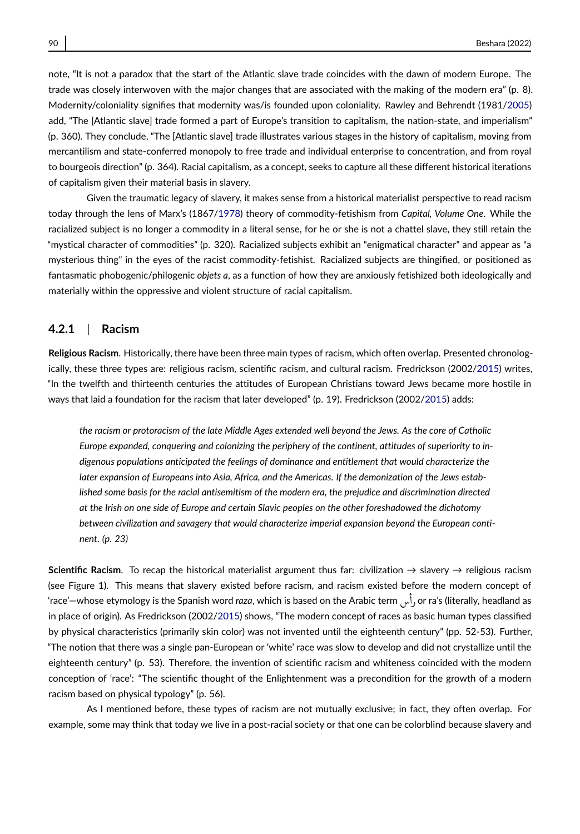note, "It is not a paradox that the start of the Atlantic slave trade coincides with the dawn of modern Europe. The trade was closely interwoven with the major changes that are associated with the making of the modern era" (p. 8). Modernity/coloniality signifies that modernity was/is founded upon coloniality. Rawley and Behrendt (1981[/2005\)](#page-16-26) add, "The [Atlantic slave] trade formed a part of Europe's transition to capitalism, the nation-state, and imperialism" (p. 360). They conclude, "The [Atlantic slave] trade illustrates various stages in the history of capitalism, moving from mercantilism and state-conferred monopoly to free trade and individual enterprise to concentration, and from royal to bourgeois direction" (p. 364). Racial capitalism, as a concept, seeks to capture all these different historical iterations of capitalism given their material basis in slavery.

Given the traumatic legacy of slavery, it makes sense from a historical materialist perspective to read racism today through the lens of Marx's (1867[/1978\)](#page-16-22) theory of commodity-fetishism from *Capital, Volume One*. While the racialized subject is no longer a commodity in a literal sense, for he or she is not a chattel slave, they still retain the "mystical character of commodities" (p. 320). Racialized subjects exhibit an "enigmatical character" and appear as "a mysterious thing" in the eyes of the racist commodity-fetishist. Racialized subjects are thingified, or positioned as fantasmatic phobogenic/philogenic *objets a*, as a function of how they are anxiously fetishized both ideologically and materially within the oppressive and violent structure of racial capitalism.

#### **4.2.1** | **Racism**

**Religious Racism**. Historically, there have been three main types of racism, which often overlap. Presented chronologically, these three types are: religious racism, scientific racism, and cultural racism. Fredrickson (2002[/2015\)](#page-15-17) writes, "In the twelfth and thirteenth centuries the attitudes of European Christians toward Jews became more hostile in ways that laid a foundation for the racism that later developed" (p. 19). Fredrickson (2002[/2015\)](#page-15-17) adds:

*the racism or protoracism of the late Middle Ages extended well beyond the Jews. As the core of Catholic Europe expanded, conquering and colonizing the periphery of the continent, attitudes of superiority to indigenous populations anticipated the feelings of dominance and entitlement that would characterize the later expansion of Europeans into Asia, Africa, and the Americas. If the demonization of the Jews established some basis for the racial antisemitism of the modern era, the prejudice and discrimination directed at the Irish on one side of Europe and certain Slavic peoples on the other foreshadowed the dichotomy between civilization and savagery that would characterize imperial expansion beyond the European continent. (p. 23)*

**Scientific Racism**. To recap the historical materialist argument thus far: civilization → slavery → religious racism (see Figure 1). This means that slavery existed before racism, and racism existed before the modern concept of 'race'—whose etymology is the Spanish word *raza*, which is based on the Arabic term @P or ra's (literally, headland as )<br>s in place of origin). As Fredrickson (2002[/2015\)](#page-15-17) shows, "The modern concept of races as basic human types classified by physical characteristics (primarily skin color) was not invented until the eighteenth century" (pp. 52-53). Further, "The notion that there was a single pan-European or 'white' race was slow to develop and did not crystallize until the eighteenth century" (p. 53). Therefore, the invention of scientific racism and whiteness coincided with the modern conception of 'race': "The scientific thought of the Enlightenment was a precondition for the growth of a modern racism based on physical typology" (p. 56).

As I mentioned before, these types of racism are not mutually exclusive; in fact, they often overlap. For example, some may think that today we live in a post-racial society or that one can be colorblind because slavery and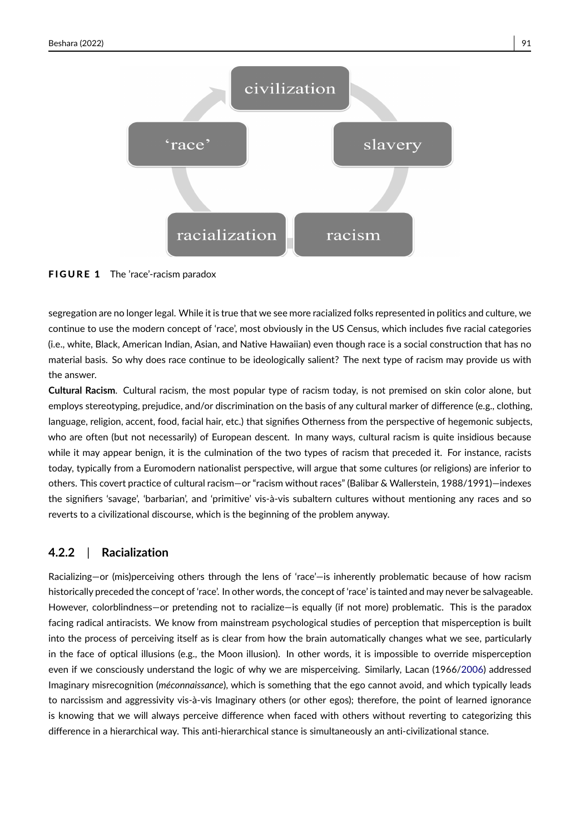

FIGURE 1 The 'race'-racism paradox

segregation are no longer legal. While it is true that we see more racialized folks represented in politics and culture, we continue to use the modern concept of 'race', most obviously in the US Census, which includes five racial categories (i.e., white, Black, American Indian, Asian, and Native Hawaiian) even though race is a social construction that has no material basis. So why does race continue to be ideologically salient? The next type of racism may provide us with the answer.

**Cultural Racism**. Cultural racism, the most popular type of racism today, is not premised on skin color alone, but employs stereotyping, prejudice, and/or discrimination on the basis of any cultural marker of difference (e.g., clothing, language, religion, accent, food, facial hair, etc.) that signifies Otherness from the perspective of hegemonic subjects, who are often (but not necessarily) of European descent. In many ways, cultural racism is quite insidious because while it may appear benign, it is the culmination of the two types of racism that preceded it. For instance, racists today, typically from a Euromodern nationalist perspective, will argue that some cultures (or religions) are inferior to others. This covert practice of cultural racism—or "racism without races" (Balibar & Wallerstein, 1988/1991)—indexes the signifiers 'savage', 'barbarian', and 'primitive' vis-à-vis subaltern cultures without mentioning any races and so reverts to a civilizational discourse, which is the beginning of the problem anyway.

#### **4.2.2** | **Racialization**

Racializing—or (mis)perceiving others through the lens of 'race'—is inherently problematic because of how racism historically preceded the concept of 'race'. In other words, the concept of 'race' is tainted and may never be salvageable. However, colorblindness—or pretending not to racialize—is equally (if not more) problematic. This is the paradox facing radical antiracists. We know from mainstream psychological studies of perception that misperception is built into the process of perceiving itself as is clear from how the brain automatically changes what we see, particularly in the face of optical illusions (e.g., the Moon illusion). In other words, it is impossible to override misperception even if we consciously understand the logic of why we are misperceiving. Similarly, Lacan (1966[/2006\)](#page-16-21) addressed Imaginary misrecognition (*méconnaissance*), which is something that the ego cannot avoid, and which typically leads to narcissism and aggressivity vis-à-vis Imaginary others (or other egos); therefore, the point of learned ignorance is knowing that we will always perceive difference when faced with others without reverting to categorizing this difference in a hierarchical way. This anti-hierarchical stance is simultaneously an anti-civilizational stance.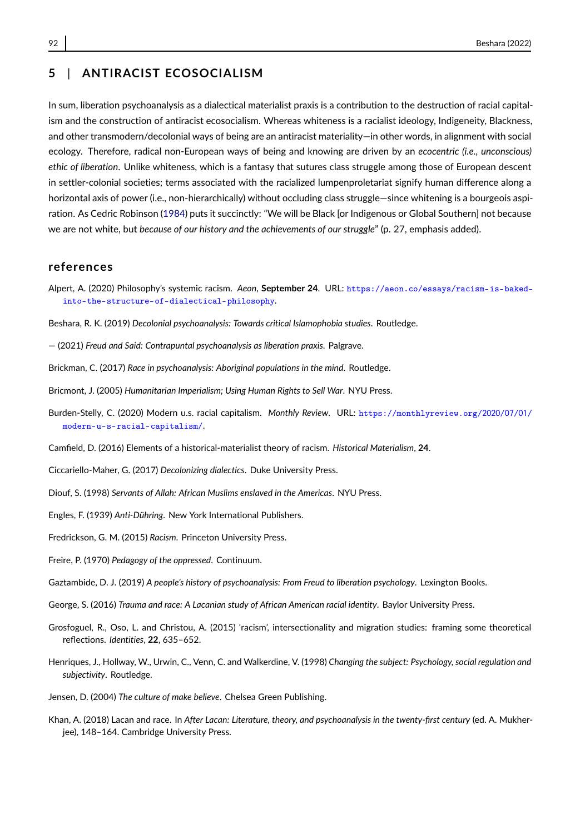In sum, liberation psychoanalysis as a dialectical materialist praxis is a contribution to the destruction of racial capitalism and the construction of antiracist ecosocialism. Whereas whiteness is a racialist ideology, Indigeneity, Blackness, and other transmodern/decolonial ways of being are an antiracist materiality—in other words, in alignment with social ecology. Therefore, radical non-European ways of being and knowing are driven by an *ecocentric (i.e., unconscious) ethic of liberation*. Unlike whiteness, which is a fantasy that sutures class struggle among those of European descent in settler-colonial societies; terms associated with the racialized lumpenproletariat signify human difference along a horizontal axis of power (i.e., non-hierarchically) without occluding class struggle—since whitening is a bourgeois aspiration. As Cedric Robinson [\(1984\)](#page-17-12) puts it succinctly: "We will be Black [or Indigenous or Global Southern] not because we are not white, but *because of our history and the achievements of our struggle*" (p. 27, emphasis added).

#### **references**

- <span id="page-15-12"></span>Alpert, A. (2020) Philosophy's systemic racism. *Aeon*, **September 24**. URL: [https://aeon.co/essays/racism-is-baked](https://aeon.co/essays/racism-is-baked-into-the-structure-of-dialectical-philosophy)[into-the-structure-of-dialectical-philosophy](https://aeon.co/essays/racism-is-baked-into-the-structure-of-dialectical-philosophy).
- <span id="page-15-1"></span>Beshara, R. K. (2019) *Decolonial psychoanalysis: Towards critical Islamophobia studies*. Routledge.
- <span id="page-15-9"></span>— (2021) *Freud and Said: Contrapuntal psychoanalysis as liberation praxis*. Palgrave.
- <span id="page-15-3"></span>Brickman, C. (2017) *Race in psychoanalysis: Aboriginal populations in the mind*. Routledge.
- <span id="page-15-6"></span>Bricmont, J. (2005) *Humanitarian Imperialism; Using Human Rights to Sell War*. NYU Press.
- <span id="page-15-11"></span>Burden-Stelly, C. (2020) Modern u.s. racial capitalism. *Monthly Review*. URL: [https://monthlyreview.org/](https://monthlyreview.org/2020/07/01/modern-u-s-racial-capitalism/)2020/07/01/ [modern-u-s-racial-capitalism/](https://monthlyreview.org/2020/07/01/modern-u-s-racial-capitalism/).
- <span id="page-15-14"></span>Camfield, D. (2016) Elements of a historical-materialist theory of racism. *Historical Materialism*, **24**.
- <span id="page-15-13"></span>Ciccariello-Maher, G. (2017) *Decolonizing dialectics*. Duke University Press.
- <span id="page-15-7"></span>Diouf, S. (1998) *Servants of Allah: African Muslims enslaved in the Americas*. NYU Press.
- <span id="page-15-16"></span>Engles, F. (1939) *Anti-Dühring*. New York International Publishers.
- <span id="page-15-17"></span>Fredrickson, G. M. (2015) *Racism*. Princeton University Press.
- <span id="page-15-5"></span>Freire, P. (1970) *Pedagogy of the oppressed*. Continuum.
- <span id="page-15-10"></span>Gaztambide, D. J. (2019) *A people's history of psychoanalysis: From Freud to liberation psychology*. Lexington Books.
- <span id="page-15-8"></span>George, S. (2016) *Trauma and race: A Lacanian study of African American racial identity*. Baylor University Press.
- <span id="page-15-4"></span>Grosfoguel, R., Oso, L. and Christou, A. (2015) 'racism', intersectionality and migration studies: framing some theoretical reflections. *Identities*, **22**, 635–652.
- <span id="page-15-0"></span>Henriques, J., Hollway, W., Urwin, C., Venn, C. and Walkerdine, V. (1998) *Changing the subject: Psychology, social regulation and subjectivity*. Routledge.
- <span id="page-15-15"></span>Jensen, D. (2004) *The culture of make believe*. Chelsea Green Publishing.
- <span id="page-15-2"></span>Khan, A. (2018) Lacan and race. In *After Lacan: Literature, theory, and psychoanalysis in the twenty-first century* (ed. A. Mukherjee), 148–164. Cambridge University Press.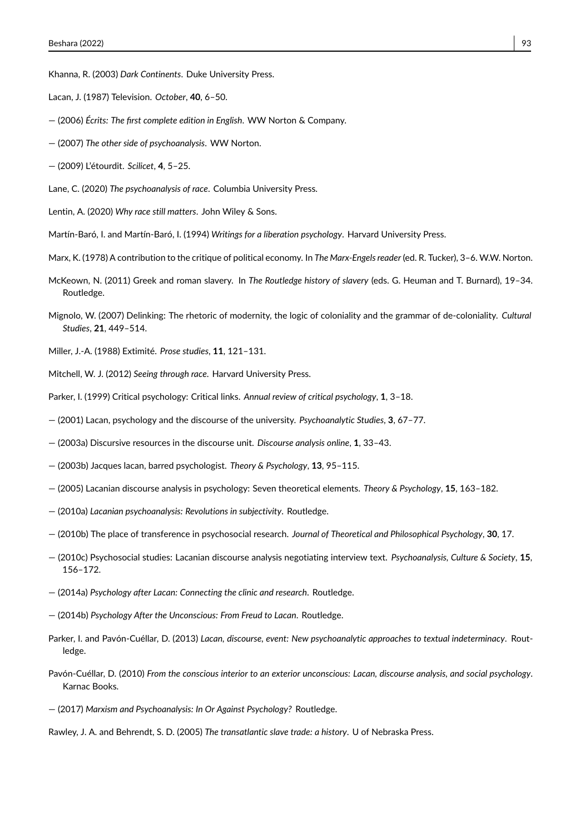<span id="page-16-23"></span>Khanna, R. (2003) *Dark Continents*. Duke University Press.

- <span id="page-16-16"></span>Lacan, J. (1987) Television. *October*, **40**, 6–50.
- <span id="page-16-21"></span>— (2006) *Écrits: The first complete edition in English*. WW Norton & Company.
- <span id="page-16-10"></span>— (2007) *The other side of psychoanalysis*. WW Norton.
- <span id="page-16-17"></span>— (2009) L'étourdit. *Scilicet*, **4**, 5–25.
- <span id="page-16-13"></span>Lane, C. (2020) *The psychoanalysis of race*. Columbia University Press.
- <span id="page-16-15"></span>Lentin, A. (2020) *Why race still matters*. John Wiley & Sons.
- <span id="page-16-20"></span>Martín-Baró, I. and Martín-Baró, I. (1994) *Writings for a liberation psychology*. Harvard University Press.
- <span id="page-16-22"></span>Marx, K. (1978) A contribution to the critique of political economy. In *The Marx-Engels reader* (ed. R. Tucker), 3–6. W.W. Norton.
- <span id="page-16-25"></span>McKeown, N. (2011) Greek and roman slavery. In *The Routledge history of slavery* (eds. G. Heuman and T. Burnard), 19–34. Routledge.
- <span id="page-16-24"></span>Mignolo, W. (2007) Delinking: The rhetoric of modernity, the logic of coloniality and the grammar of de-coloniality. *Cultural Studies*, **21**, 449–514.
- <span id="page-16-18"></span>Miller, J.-A. (1988) Extimité. *Prose studies*, **11**, 121–131.
- <span id="page-16-14"></span>Mitchell, W. J. (2012) *Seeing through race*. Harvard University Press.
- <span id="page-16-0"></span>Parker, I. (1999) Critical psychology: Critical links. *Annual review of critical psychology*, **1**, 3–18.
- <span id="page-16-1"></span>— (2001) Lacan, psychology and the discourse of the university. *Psychoanalytic Studies*, **3**, 67–77.
- <span id="page-16-9"></span>— (2003a) Discursive resources in the discourse unit. *Discourse analysis online*, **1**, 33–43.
- <span id="page-16-2"></span>— (2003b) Jacques lacan, barred psychologist. *Theory & Psychology*, **13**, 95–115.
- <span id="page-16-3"></span>— (2005) Lacanian discourse analysis in psychology: Seven theoretical elements. *Theory & Psychology*, **15**, 163–182.
- <span id="page-16-4"></span>— (2010a) *Lacanian psychoanalysis: Revolutions in subjectivity*. Routledge.
- <span id="page-16-6"></span>— (2010b) The place of transference in psychosocial research. *Journal of Theoretical and Philosophical Psychology*, **30**, 17.
- <span id="page-16-5"></span>— (2010c) Psychosocial studies: Lacanian discourse analysis negotiating interview text. *Psychoanalysis, Culture & Society*, **15**, 156–172.
- <span id="page-16-7"></span>— (2014a) *Psychology after Lacan: Connecting the clinic and research*. Routledge.
- <span id="page-16-8"></span>— (2014b) *Psychology After the Unconscious: From Freud to Lacan*. Routledge.
- <span id="page-16-12"></span>Parker, I. and Pavón-Cuéllar, D. (2013) *Lacan, discourse, event: New psychoanalytic approaches to textual indeterminacy*. Routledge.
- <span id="page-16-11"></span>Pavón-Cuéllar, D. (2010) *From the conscious interior to an exterior unconscious: Lacan, discourse analysis, and social psychology*. Karnac Books.
- <span id="page-16-19"></span>— (2017) *Marxism and Psychoanalysis: In Or Against Psychology?* Routledge.

<span id="page-16-26"></span>Rawley, J. A. and Behrendt, S. D. (2005) *The transatlantic slave trade: a history*. U of Nebraska Press.